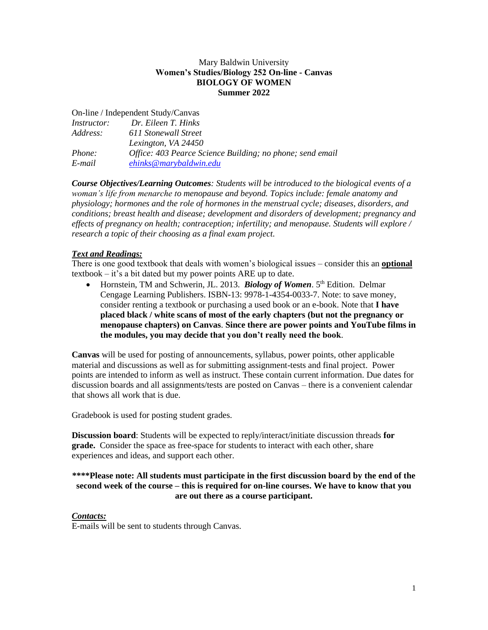#### Mary Baldwin University **Women's Studies/Biology 252 On-line - Canvas BIOLOGY OF WOMEN Summer 2022**

On-line / Independent Study/Canvas

| <i>Instructor:</i> | Dr. Eileen T. Hinks                                       |
|--------------------|-----------------------------------------------------------|
| Address:           | 611 Stonewall Street                                      |
|                    | Lexington, VA 24450                                       |
| <i>Phone:</i>      | Office: 403 Pearce Science Building; no phone; send email |
| E-mail             | ehinks@marybaldwin.edu                                    |

*Course Objectives/Learning Outcomes: Students will be introduced to the biological events of a woman's life from menarche to menopause and beyond. Topics include: female anatomy and physiology; hormones and the role of hormones in the menstrual cycle; diseases, disorders, and conditions; breast health and disease; development and disorders of development; pregnancy and effects of pregnancy on health; contraception; infertility; and menopause. Students will explore / research a topic of their choosing as a final exam project.*

#### *Text and Readings:*

There is one good textbook that deals with women's biological issues – consider this an **optional** textbook – it's a bit dated but my power points ARE up to date.

• Hornstein, TM and Schwerin, JL. 2013. *Biology of Women*. 5<sup>th</sup> Edition. Delmar Cengage Learning Publishers. ISBN-13: 9978-1-4354-0033-7. Note: to save money, consider renting a textbook or purchasing a used book or an e-book. Note that **I have placed black / white scans of most of the early chapters (but not the pregnancy or menopause chapters) on Canvas**. **Since there are power points and YouTube films in the modules, you may decide that you don't really need the book**.

**Canvas** will be used for posting of announcements, syllabus, power points, other applicable material and discussions as well as for submitting assignment-tests and final project. Power points are intended to inform as well as instruct. These contain current information. Due dates for discussion boards and all assignments/tests are posted on Canvas – there is a convenient calendar that shows all work that is due.

Gradebook is used for posting student grades.

**Discussion board**: Students will be expected to reply/interact/initiate discussion threads **for grade.** Consider the space as free-space for students to interact with each other, share experiences and ideas, and support each other.

#### **\*\*\*\*Please note: All students must participate in the first discussion board by the end of the second week of the course – this is required for on-line courses. We have to know that you are out there as a course participant.**

#### *Contacts:*

E-mails will be sent to students through Canvas.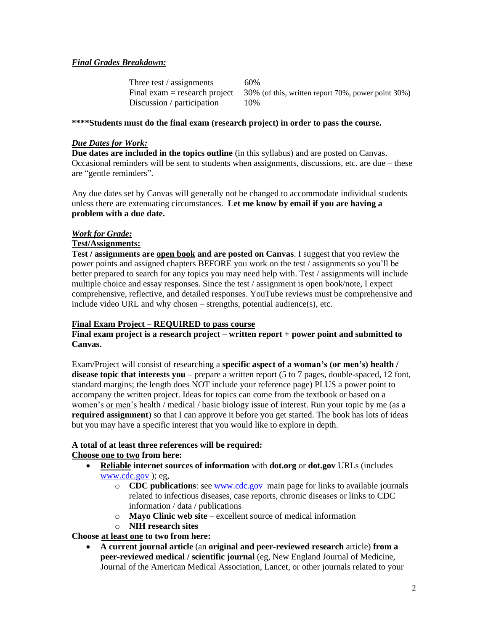#### *Final Grades Breakdown:*

| Three test / assignments   | 60%                                                                                 |
|----------------------------|-------------------------------------------------------------------------------------|
|                            | Final exam = research project $30\%$ (of this, written report 70%, power point 30%) |
| Discussion / participation | 10%                                                                                 |

#### **\*\*\*\*Students must do the final exam (research project) in order to pass the course.**

#### *Due Dates for Work:*

**Due dates are included in the topics outline** (in this syllabus) and are posted on Canvas. Occasional reminders will be sent to students when assignments, discussions, etc. are due – these are "gentle reminders".

Any due dates set by Canvas will generally not be changed to accommodate individual students unless there are extenuating circumstances. **Let me know by email if you are having a problem with a due date.**

#### *Work for Grade:*

## **Test/Assignments:**

**Test / assignments are open book and are posted on Canvas**. I suggest that you review the power points and assigned chapters BEFORE you work on the test / assignments so you'll be better prepared to search for any topics you may need help with. Test / assignments will include multiple choice and essay responses. Since the test / assignment is open book/note, I expect comprehensive, reflective, and detailed responses. YouTube reviews must be comprehensive and include video URL and why chosen – strengths, potential audience(s), etc.

#### **Final Exam Project – REQUIRED to pass course**

#### **Final exam project is a research project – written report + power point and submitted to Canvas.**

Exam/Project will consist of researching a **specific aspect of a woman's (or men's) health / disease topic that interests you** – prepare a written report (5 to 7 pages, double-spaced, 12 font, standard margins; the length does NOT include your reference page) PLUS a power point to accompany the written project. Ideas for topics can come from the textbook or based on a women's or men's health / medical / basic biology issue of interest. Run your topic by me (as a **required assignment**) so that I can approve it before you get started. The book has lots of ideas but you may have a specific interest that you would like to explore in depth.

#### **A total of at least three references will be required: Choose one to two from here:**

- **Reliable internet sources of information** with **dot.org** or **dot.gov** URLs (includes [www.cdc.gov](http://www.cdc.gov/) ); eg,
	- o **CDC publications**: se[e www.cdc.gov](http://www.cdc.gov/) main page for links to available journals related to infectious diseases, case reports, chronic diseases or links to CDC information / data / publications
	- o **Mayo Clinic web site**  excellent source of medical information
	- o **NIH research sites**

#### **Choose at least one to two from here:**

• **A current journal article** (an **original and peer-reviewed research** article) **from a peer-reviewed medical / scientific journal** (eg, New England Journal of Medicine, Journal of the American Medical Association, Lancet, or other journals related to your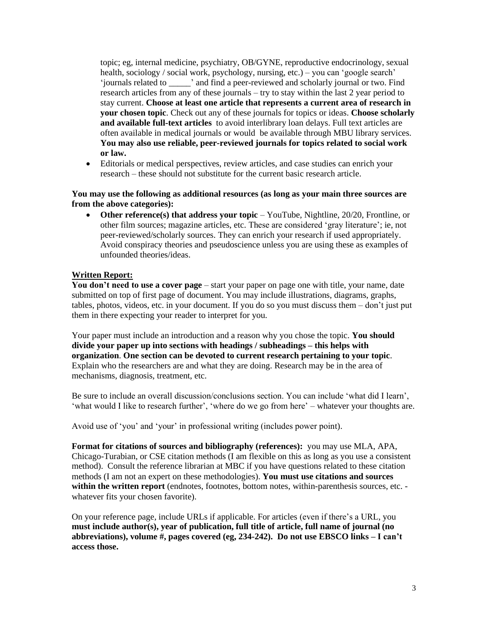topic; eg, internal medicine, psychiatry, OB/GYNE, reproductive endocrinology, sexual health, sociology / social work, psychology, nursing, etc.) – you can 'google search' 'journals related to \_\_\_\_\_' and find a peer-reviewed and scholarly journal or two. Find research articles from any of these journals – try to stay within the last 2 year period to stay current. **Choose at least one article that represents a current area of research in your chosen topic**. Check out any of these journals for topics or ideas. **Choose scholarly and available full-text articles** to avoid interlibrary loan delays. Full text articles are often available in medical journals or would be available through MBU library services. **You may also use reliable, peer-reviewed journals for topics related to social work or law.**

• Editorials or medical perspectives, review articles, and case studies can enrich your research – these should not substitute for the current basic research article.

#### **You may use the following as additional resources (as long as your main three sources are from the above categories):**

• **Other reference(s) that address your topic** – YouTube, Nightline, 20/20, Frontline, or other film sources; magazine articles, etc. These are considered 'gray literature'; ie, not peer-reviewed/scholarly sources. They can enrich your research if used appropriately. Avoid conspiracy theories and pseudoscience unless you are using these as examples of unfounded theories/ideas.

#### **Written Report:**

**You don't need to use a cover page** – start your paper on page one with title, your name, date submitted on top of first page of document. You may include illustrations, diagrams, graphs, tables, photos, videos, etc. in your document. If you do so you must discuss them – don't just put them in there expecting your reader to interpret for you.

Your paper must include an introduction and a reason why you chose the topic. **You should divide your paper up into sections with headings / subheadings – this helps with organization**. **One section can be devoted to current research pertaining to your topic**. Explain who the researchers are and what they are doing. Research may be in the area of mechanisms, diagnosis, treatment, etc.

Be sure to include an overall discussion/conclusions section. You can include 'what did I learn', 'what would I like to research further', 'where do we go from here' – whatever your thoughts are.

Avoid use of 'you' and 'your' in professional writing (includes power point).

**Format for citations of sources and bibliography (references):** you may use MLA, APA, Chicago-Turabian, or CSE citation methods (I am flexible on this as long as you use a consistent method). Consult the reference librarian at MBC if you have questions related to these citation methods (I am not an expert on these methodologies). **You must use citations and sources within the written report** (endnotes, footnotes, bottom notes, within-parenthesis sources, etc. whatever fits your chosen favorite).

On your reference page, include URLs if applicable. For articles (even if there's a URL, you **must include author(s), year of publication, full title of article, full name of journal (no abbreviations), volume #, pages covered (eg, 234-242). Do not use EBSCO links – I can't access those.**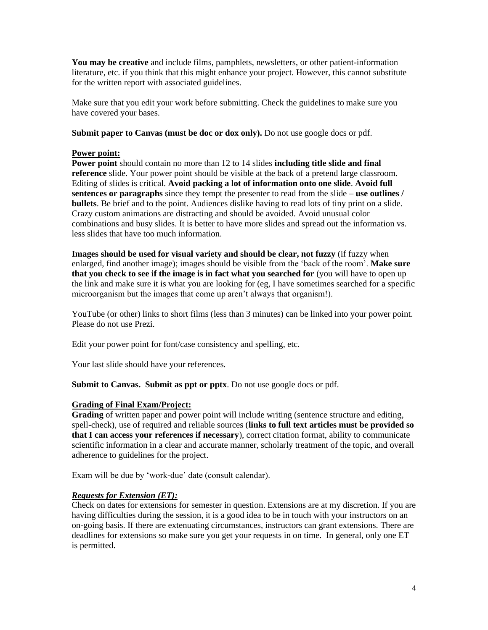**You may be creative** and include films, pamphlets, newsletters, or other patient-information literature, etc. if you think that this might enhance your project. However, this cannot substitute for the written report with associated guidelines.

Make sure that you edit your work before submitting. Check the guidelines to make sure you have covered your bases.

**Submit paper to Canvas (must be doc or dox only).** Do not use google docs or pdf.

#### **Power point:**

**Power point** should contain no more than 12 to 14 slides **including title slide and final reference** slide. Your power point should be visible at the back of a pretend large classroom. Editing of slides is critical. **Avoid packing a lot of information onto one slide**. **Avoid full sentences or paragraphs** since they tempt the presenter to read from the slide – **use outlines / bullets**. Be brief and to the point. Audiences dislike having to read lots of tiny print on a slide. Crazy custom animations are distracting and should be avoided. Avoid unusual color combinations and busy slides. It is better to have more slides and spread out the information vs. less slides that have too much information.

**Images should be used for visual variety and should be clear, not fuzzy** (if fuzzy when enlarged, find another image); images should be visible from the 'back of the room'. **Make sure that you check to see if the image is in fact what you searched for** (you will have to open up the link and make sure it is what you are looking for (eg, I have sometimes searched for a specific microorganism but the images that come up aren't always that organism!).

YouTube (or other) links to short films (less than 3 minutes) can be linked into your power point. Please do not use Prezi.

Edit your power point for font/case consistency and spelling, etc.

Your last slide should have your references.

**Submit to Canvas. Submit as ppt or pptx**. Do not use google docs or pdf.

#### **Grading of Final Exam/Project:**

**Grading** of written paper and power point will include writing (sentence structure and editing, spell-check), use of required and reliable sources (**links to full text articles must be provided so that I can access your references if necessary**), correct citation format, ability to communicate scientific information in a clear and accurate manner, scholarly treatment of the topic, and overall adherence to guidelines for the project.

Exam will be due by 'work-due' date (consult calendar).

#### *Requests for Extension (ET):*

Check on dates for extensions for semester in question. Extensions are at my discretion. If you are having difficulties during the session, it is a good idea to be in touch with your instructors on an on-going basis. If there are extenuating circumstances, instructors can grant extensions. There are deadlines for extensions so make sure you get your requests in on time. In general, only one ET is permitted.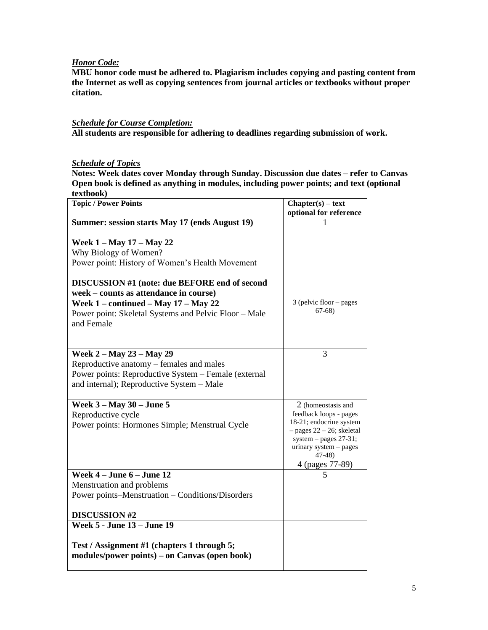#### *Honor Code:*

**MBU honor code must be adhered to. Plagiarism includes copying and pasting content from the Internet as well as copying sentences from journal articles or textbooks without proper citation.**

### *Schedule for Course Completion:*

**All students are responsible for adhering to deadlines regarding submission of work.**

# *Schedule of Topics*

**Notes: Week dates cover Monday through Sunday. Discussion due dates – refer to Canvas Open book is defined as anything in modules, including power points; and text (optional textbook)**

| <b>Topic / Power Points</b>                           | $Chapter(s) - text$                                    |
|-------------------------------------------------------|--------------------------------------------------------|
|                                                       | optional for reference                                 |
| Summer: session starts May 17 (ends August 19)        |                                                        |
|                                                       |                                                        |
| <b>Week 1 – May 17 – May 22</b>                       |                                                        |
| Why Biology of Women?                                 |                                                        |
| Power point: History of Women's Health Movement       |                                                        |
| DISCUSSION #1 (note: due BEFORE end of second         |                                                        |
| week – counts as attendance in course)                |                                                        |
| Week $1$ – continued – May $17$ – May $22$            | 3 (pelvic floor - pages                                |
| Power point: Skeletal Systems and Pelvic Floor - Male | $67-68$                                                |
| and Female                                            |                                                        |
|                                                       |                                                        |
|                                                       |                                                        |
| Week 2 – May 23 – May 29                              | 3                                                      |
| Reproductive anatomy – females and males              |                                                        |
| Power points: Reproductive System - Female (external  |                                                        |
| and internal); Reproductive System - Male             |                                                        |
|                                                       |                                                        |
| Week $3 - May 30 - June 5$                            | 2 (homeostasis and                                     |
| Reproductive cycle                                    | feedback loops - pages                                 |
| Power points: Hormones Simple; Menstrual Cycle        | 18-21; endocrine system                                |
|                                                       | $-$ pages 22 – 26; skeletal<br>system $-$ pages 27-31; |
|                                                       | urinary system - pages                                 |
|                                                       | $47-48$                                                |
|                                                       | 4 (pages 77-89)                                        |
| Week $4 -$ June $6 -$ June 12                         | 5                                                      |
| Menstruation and problems                             |                                                        |
| Power points-Menstruation - Conditions/Disorders      |                                                        |
|                                                       |                                                        |
| <b>DISCUSSION #2</b>                                  |                                                        |
| <b>Week 5 - June 13 - June 19</b>                     |                                                        |
|                                                       |                                                        |
| Test / Assignment #1 (chapters 1 through 5;           |                                                        |
| modules/power points) – on Canvas (open book)         |                                                        |
|                                                       |                                                        |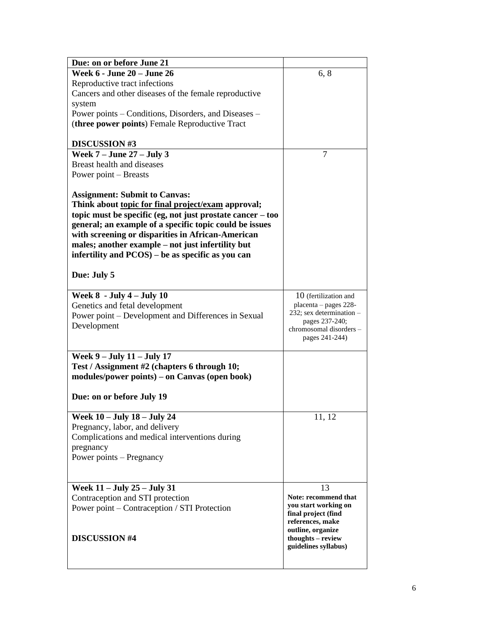| Due: on or before June 21                                    |                                           |
|--------------------------------------------------------------|-------------------------------------------|
| <b>Week 6 - June 20 - June 26</b>                            | 6, 8                                      |
| Reproductive tract infections                                |                                           |
| Cancers and other diseases of the female reproductive        |                                           |
| system                                                       |                                           |
| Power points – Conditions, Disorders, and Diseases –         |                                           |
| (three power points) Female Reproductive Tract               |                                           |
|                                                              |                                           |
| <b>DISCUSSION #3</b>                                         |                                           |
| Week $7 -$ June $27 -$ July 3                                | 7                                         |
| Breast health and diseases                                   |                                           |
| Power point – Breasts                                        |                                           |
|                                                              |                                           |
| <b>Assignment: Submit to Canvas:</b>                         |                                           |
| Think about topic for final project/exam approval;           |                                           |
| topic must be specific (eg, not just prostate cancer $-$ too |                                           |
| general; an example of a specific topic could be issues      |                                           |
| with screening or disparities in African-American            |                                           |
| males; another example – not just infertility but            |                                           |
| infertility and PCOS) – be as specific as you can            |                                           |
|                                                              |                                           |
| Due: July 5                                                  |                                           |
| Week $8 - July 4 - July 10$                                  | 10 (fertilization and                     |
| Genetics and fetal development                               | placenta - pages 228-                     |
| Power point - Development and Differences in Sexual          | 232; sex determination -                  |
| Development                                                  | pages 237-240;                            |
|                                                              | chromosomal disorders –<br>pages 241-244) |
|                                                              |                                           |
| Week 9 - July 11 - July 17                                   |                                           |
| Test / Assignment #2 (chapters 6 through 10;                 |                                           |
| modules/power points) – on Canvas (open book)                |                                           |
|                                                              |                                           |
| Due: on or before July 19                                    |                                           |
| Week 10 – July 18 – July 24                                  | 11, 12                                    |
| Pregnancy, labor, and delivery                               |                                           |
| Complications and medical interventions during               |                                           |
| pregnancy                                                    |                                           |
| Power points – Pregnancy                                     |                                           |
|                                                              |                                           |
|                                                              |                                           |
| Week 11 - July 25 - July 31                                  | 13                                        |
| Contraception and STI protection                             | Note: recommend that                      |
| Power point – Contraception / STI Protection                 | you start working on                      |
|                                                              | final project (find                       |
|                                                              | references, make                          |
|                                                              | outline, organize                         |
| <b>DISCUSSION #4</b>                                         | thoughts - review<br>guidelines syllabus) |
|                                                              |                                           |
|                                                              |                                           |